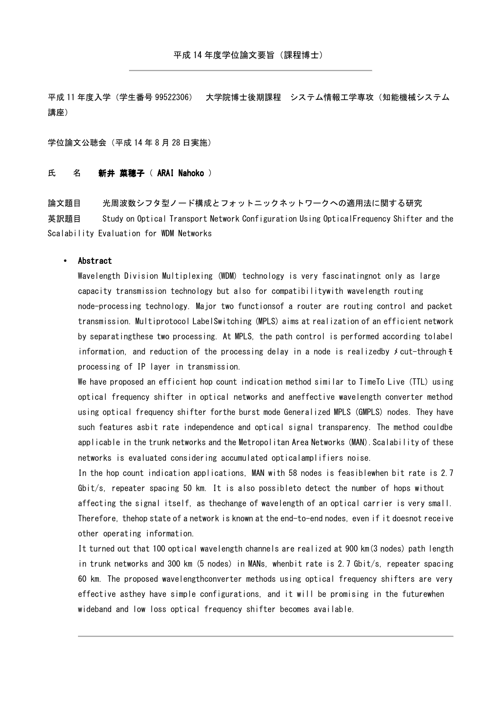平成 11 年度入学(学生番号 99522306) 大学院博士後期課程 システム情報工学専攻(知能機械システム 講座)

学位論文公聴会(平成 14 年 8 月 28 日実施)

## 氏 名 新井 菜穂子 ( ARAI Nahoko )

論文題目 光周波数シフタ型ノード構成とフォットニックネットワークへの適用法に関する研究 英訳題目 Study on Optical Transport Network Configuration Using OpticalFrequency Shifter and the Scalability Evaluation for WDM Networks

## • Abstract

Wavelength Division Multiplexing (WDM) technology is very fascinatingnot only as large capacity transmission technology but also for compatibilitywith wavelength routing node-processing technology. Major two functionsof a router are routing control and packet transmission. Multiprotocol LabelSwitching (MPLS) aims at realization of an efficient network by separatingthese two processing. At MPLS, the path control is performed according tolabel information, and reduction of the processing delay in a node is realizedby  $\star$  cut-through  $\pm$ processing of IP layer in transmission.

We have proposed an efficient hop count indication method similar to TimeTo Live (TTL) using optical frequency shifter in optical networks and aneffective wavelength converter method using optical frequency shifter forthe burst mode Generalized MPLS (GMPLS) nodes. They have such features asbit rate independence and optical signal transparency. The method couldbe applicable in the trunk networks and the Metropolitan Area Networks (MAN). Scalability of these networks is evaluated considering accumulated opticalamplifiers noise.

In the hop count indication applications, MAN with 58 nodes is feasiblewhen bit rate is 2.7 Gbit/s, repeater spacing 50 km. It is also possibleto detect the number of hops without affecting the signal itself, as thechange of wavelength of an optical carrier is very small. Therefore, thehop state of a network is known at the end-to-end nodes, even if it doesnot receive other operating information.

It turned out that 100 optical wavelength channels are realized at 900 km(3 nodes) path length in trunk networks and 300 km (5 nodes) in MANs, whenbit rate is 2.7 Gbit/s, repeater spacing 60 km. The proposed wavelengthconverter methods using optical frequency shifters are very effective asthey have simple configurations, and it will be promising in the futurewhen wideband and low loss optical frequency shifter becomes available.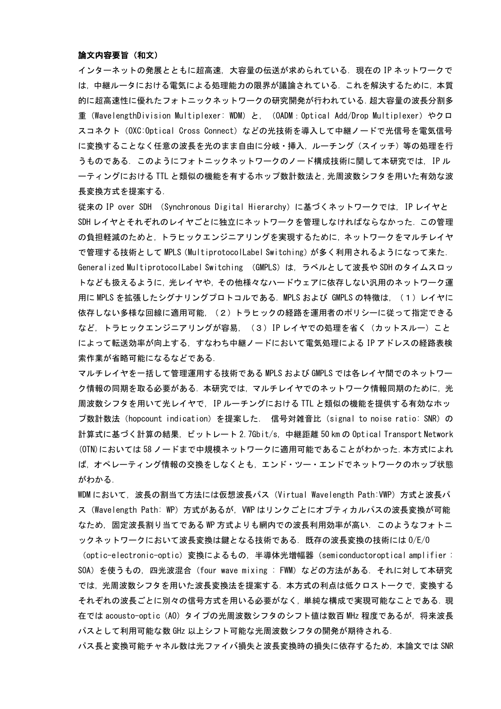## 論文内容要旨(和文)

インターネットの発展とともに超高速,大容量の伝送が求められている.現在の IP ネットワークで は,中継ルータにおける電気による処理能力の限界が議論されている.これを解決するために,本質 的に超高速性に優れたフォトニックネットワークの研究開発が行われている.超大容量の波長分割多 重(WavelengthDivision Multiplexer: WDM)と,(OADM:Optical Add/Drop Multiplexer)やクロ スコネクト(OXC:Optical Cross Connect)などの光技術を導入して中継ノードで光信号を電気信号 に変換することなく任意の波長を光のまま自由に分岐・挿入、ルーチング(スイッチ)等の処理を行 うものである.このようにフォトニックネットワークのノード構成技術に関して本研究では,IP ル ーティングにおける TTL と類似の機能を有するホップ数計数法と,光周波数シフタを用いた有効な波 長変換方式を提案する.

従来の IP over SDH (Synchronous Digital Hierarchy)に基づくネットワークでは,IP レイヤと SDH レイヤとそれぞれのレイヤごとに独立にネットワークを管理しなければならなかった.この管理 の負担軽減のためと,トラヒックエンジニアリングを実現するために,ネットワークをマルチレイヤ で管理する技術として MPLS(MultiprotocolLabel Switching)が多く利用されるようになって来た. Generalized MultiprotocolLabel Switching (GMPLS)は,ラベルとして波長や SDH のタイムスロッ トなども扱えるように,光レイヤや,その他様々なハードウェアに依存しない汎用のネットワーク運 用に MPLS を拡張したシグナリングプロトコルである. MPLS および GMPLS の特徴は. (1)レイヤに 依存しない多様な回線に適用可能,(2)トラヒックの経路を運用者のポリシーに従って指定できる など,トラヒックエンジニアリングが容易, (3) IP レイヤでの処理を省く(カットスルー)こと によって転送効率が向上する,すなわち中継ノードにおいて電気処理による IP アドレスの経路表検 索作業が省略可能になるなどである.

マルチレイヤを一括して管理運用する技術である MPLS および GMPLS では各レイヤ間でのネットワー ク情報の同期を取る必要がある.本研究では,マルチレイヤでのネットワーク情報同期のために,光 周波数シフタを用いて光レイヤで,IP ルーチングにおける TTL と類似の機能を提供する有効なホッ プ数計数法(hopcount indication)を提案した. 信号対雑音比(signal to noise ratio: SNR)の 計算式に基づく計算の結果,ビットレート 2.7Gbit/s,中継距離 50 km の Optical Transport Network (OTN)においては 58 ノードまで中規模ネットワークに適用可能であることがわかった.本方式によれ ば,オペレーティング情報の交換をしなくとも,エンド・ツー・エンドでネットワークのホップ状態 がわかる.

WDM において,波長の割当て方法には仮想波長パス(Virtual Wavelength Path:VWP)方式と波長パ ス(Wavelength Path: WP)方式があるが,VWP はリンクごとにオプティカルパスの波長変換が可能 なため,固定波長割り当てである WP 方式よりも網内での波長利用効率が高い.このようなフォトニ ックネットワークにおいて波長変換は鍵となる技術である.既存の波長変換の技術には O/E/O

(optic-electronic-optic)変換によるもの,半導体光増幅器(semiconductoroptical amplifier : SOA)を使うもの,四光波混合(four wave mixing : FWM)などの方法がある.それに対して本研究 では,光周波数シフタを用いた波長変換法を提案する.本方式の利点は低クロストークで,変換する それぞれの波長ごとに別々の信号方式を用いる必要がなく,単純な構成で実現可能なことである.現 在では acousto-optic(AO)タイプの光周波数シフタのシフト値は数百 MHz 程度であるが,将来波長 パスとして利用可能な数 GHz 以上シフト可能な光周波数シフタの開発が期待される.

パス長と変換可能チャネル数は光ファイバ損失と波長変換時の損失に依存するため,本論文では SNR